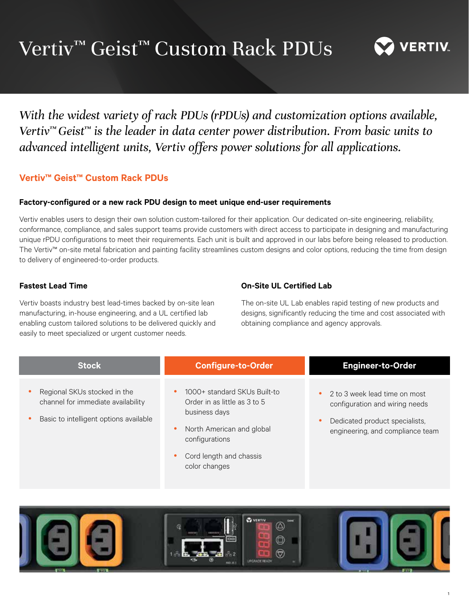# Vertiv™ Geist™ Custom Rack PDUs



1

*With the widest variety of rack PDUs (rPDUs) and customization options available, Vertiv™ Geist™ is the leader in data center power distribution. From basic units to advanced intelligent units, Vertiv offers power solutions for all applications.*

# **Vertiv™ Geist™ Custom Rack PDUs**

## **Factory-configured or a new rack PDU design to meet unique end-user requirements**

Vertiv enables users to design their own solution custom-tailored for their application. Our dedicated on-site engineering, reliability, conformance, compliance, and sales support teams provide customers with direct access to participate in designing and manufacturing unique rPDU configurations to meet their requirements. Each unit is built and approved in our labs before being released to production. The Vertiv™ on-site metal fabrication and painting facility streamlines custom designs and color options, reducing the time from design to delivery of engineered-to-order products.

# **Fastest Lead Time**

Vertiv boasts industry best lead-times backed by on-site lean manufacturing, in-house engineering, and a UL certified lab enabling custom tailored solutions to be delivered quickly and easily to meet specialized or urgent customer needs.

# **On-Site UL Certified Lab**

The on-site UL Lab enables rapid testing of new products and designs, significantly reducing the time and cost associated with obtaining compliance and agency approvals.

| <b>Stock</b>                                                                                                 | <b>Configure-to-Order</b>                                                                                                                                                | <b>Engineer-to-Order</b>                                                                                                              |
|--------------------------------------------------------------------------------------------------------------|--------------------------------------------------------------------------------------------------------------------------------------------------------------------------|---------------------------------------------------------------------------------------------------------------------------------------|
| Regional SKUs stocked in the<br>channel for immediate availability<br>Basic to intelligent options available | 1000+ standard SKUs Built-to<br>Order in as little as 3 to 5<br>business days<br>North American and global<br>configurations<br>Cord length and chassis<br>color changes | 2 to 3 week lead time on most<br>configuration and wiring needs<br>Dedicated product specialists,<br>engineering, and compliance team |

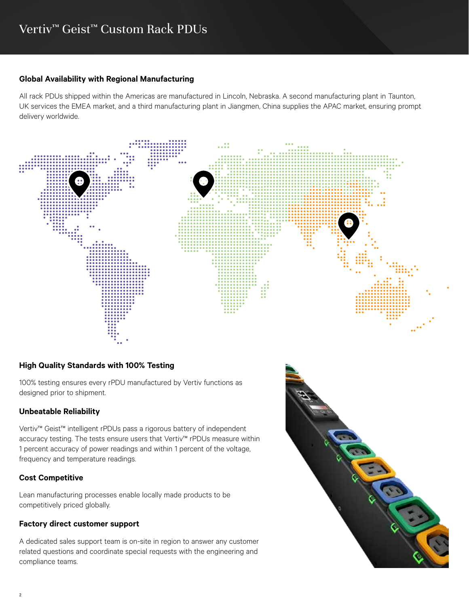## **Global Availability with Regional Manufacturing**

All rack PDUs shipped within the Americas are manufactured in Lincoln, Nebraska. A second manufacturing plant in Taunton, UK services the EMEA market, and a third manufacturing plant in Jiangmen, China supplies the APAC market, ensuring prompt delivery worldwide.



# **High Quality Standards with 100% Testing**

100% testing ensures every rPDU manufactured by Vertiv functions as designed prior to shipment.

## **Unbeatable Reliability**

Vertiv™ Geist™ intelligent rPDUs pass a rigorous battery of independent accuracy testing. The tests ensure users that Vertiv™ rPDUs measure within 1 percent accuracy of power readings and within 1 percent of the voltage, frequency and temperature readings.

# **Cost Competitive**

Lean manufacturing processes enable locally made products to be competitively priced globally.

## **Factory direct customer support**

A dedicated sales support team is on-site in region to answer any customer related questions and coordinate special requests with the engineering and compliance teams.

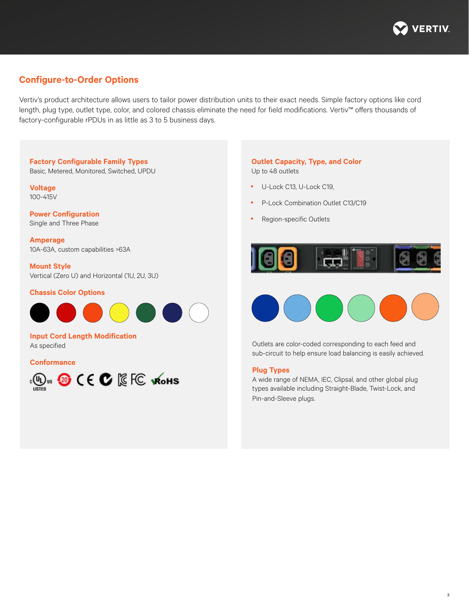

# **Configure-to-Order Options**

Vertiv's product architecture allows users to tailor power distribution units to their exact needs. Simple factory options like cord length, plug type, outlet type, color, and colored chassis eliminate the need for field modifications. Vertiv™ offers thousands of factory-configurable rPDUs in as little as 3 to 5 business days.

## **Factory Configurable Family Types**

Basic, Metered, Monitored, Switched, UPDU

**Voltage** 100-415V

## **Power Configuration** Single and Three Phase

**Amperage** 10A-63A, custom capabilities >63A

**Mount Style** Vertical (Zero U) and Horizontal (1U, 2U, 3U)

## **Chassis Color Options**



**Input Cord Length Modification** As specified

**Conformance**



## **Outlet Capacity, Type, and Color** Up to 48 outlets

- U-Lock C13, U-Lock C19,
- P-Lock Combination Outlet C13/C19
- Region-specific Outlets





Outlets are color-coded corresponding to each feed and sub-circuit to help ensure load balancing is easily achieved.

#### **Plug Types**

A wide range of NEMA, IEC, Clipsal, and other global plug types available including Straight-Blade, Twist-Lock, and Pin-and-Sleeve plugs.